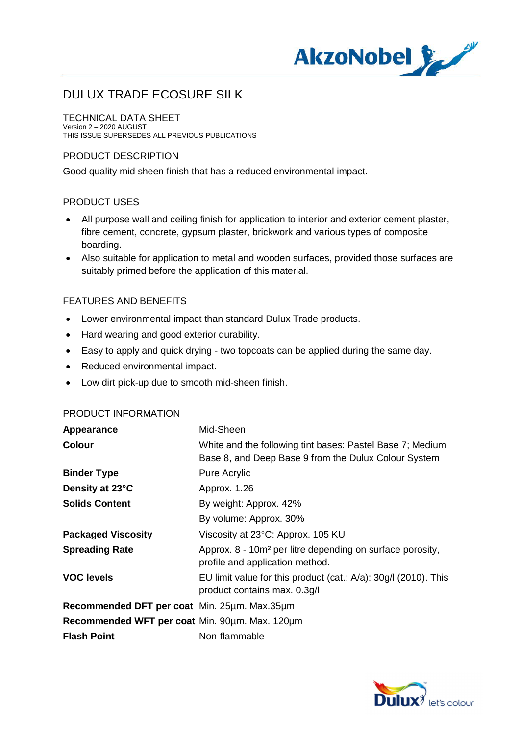

#### TECHNICAL DATA SHEET

Version 2 – 2020 AUGUST THIS ISSUE SUPERSEDES ALL PREVIOUS PUBLICATIONS

## PRODUCT DESCRIPTION

Good quality mid sheen finish that has a reduced environmental impact.

## PRODUCT USES

- · All purpose wall and ceiling finish for application to interior and exterior cement plaster, fibre cement, concrete, gypsum plaster, brickwork and various types of composite boarding.
- · Also suitable for application to metal and wooden surfaces, provided those surfaces are suitably primed before the application of this material.

## FEATURES AND BENEFITS

- · Lower environmental impact than standard Dulux Trade products.
- · Hard wearing and good exterior durability.
- · Easy to apply and quick drying two topcoats can be applied during the same day.
- · Reduced environmental impact.
- · Low dirt pick-up due to smooth mid-sheen finish.

| Appearance                                     | Mid-Sheen                                                                                                         |
|------------------------------------------------|-------------------------------------------------------------------------------------------------------------------|
| <b>Colour</b>                                  | White and the following tint bases: Pastel Base 7; Medium<br>Base 8, and Deep Base 9 from the Dulux Colour System |
| <b>Binder Type</b>                             | Pure Acrylic                                                                                                      |
| Density at 23°C                                | Approx. 1.26                                                                                                      |
| <b>Solids Content</b>                          | By weight: Approx. 42%                                                                                            |
|                                                | By volume: Approx. 30%                                                                                            |
| <b>Packaged Viscosity</b>                      | Viscosity at 23°C: Approx. 105 KU                                                                                 |
| <b>Spreading Rate</b>                          | Approx. 8 - 10m <sup>2</sup> per litre depending on surface porosity,<br>profile and application method.          |
| <b>VOC levels</b>                              | EU limit value for this product $(cat.: A/a): 30g/1 (2010).$ This<br>product contains max. 0.3g/l                 |
| Recommended DFT per coat Min. 25um. Max.35um   |                                                                                                                   |
| Recommended WFT per coat Min. 90um. Max. 120um |                                                                                                                   |
| <b>Flash Point</b>                             | Non-flammable                                                                                                     |

#### PRODUCT INFORMATION

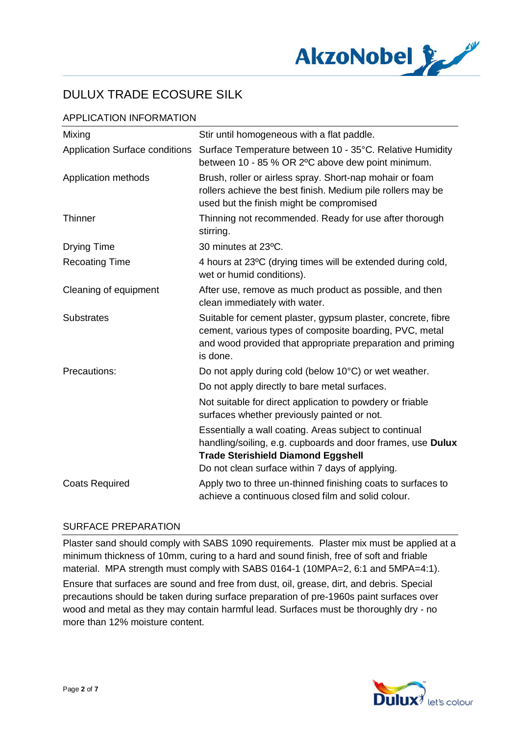

# APPLICATION INFORMATION

| Mixing                                | Stir until homogeneous with a flat paddle.                                                                                                                                                                            |
|---------------------------------------|-----------------------------------------------------------------------------------------------------------------------------------------------------------------------------------------------------------------------|
| <b>Application Surface conditions</b> | Surface Temperature between 10 - 35°C. Relative Humidity<br>between 10 - 85 % OR 2°C above dew point minimum.                                                                                                         |
| Application methods                   | Brush, roller or airless spray. Short-nap mohair or foam<br>rollers achieve the best finish. Medium pile rollers may be<br>used but the finish might be compromised                                                   |
| Thinner                               | Thinning not recommended. Ready for use after thorough<br>stirring.                                                                                                                                                   |
| <b>Drying Time</b>                    | 30 minutes at 23°C.                                                                                                                                                                                                   |
| <b>Recoating Time</b>                 | 4 hours at 23°C (drying times will be extended during cold,<br>wet or humid conditions).                                                                                                                              |
| Cleaning of equipment                 | After use, remove as much product as possible, and then<br>clean immediately with water.                                                                                                                              |
| <b>Substrates</b>                     | Suitable for cement plaster, gypsum plaster, concrete, fibre<br>cement, various types of composite boarding, PVC, metal<br>and wood provided that appropriate preparation and priming<br>is done.                     |
| Precautions:                          | Do not apply during cold (below 10°C) or wet weather.                                                                                                                                                                 |
|                                       | Do not apply directly to bare metal surfaces.                                                                                                                                                                         |
|                                       | Not suitable for direct application to powdery or friable<br>surfaces whether previously painted or not.                                                                                                              |
|                                       | Essentially a wall coating. Areas subject to continual<br>handling/soiling, e.g. cupboards and door frames, use Dulux<br><b>Trade Sterishield Diamond Eggshell</b><br>Do not clean surface within 7 days of applying. |
| <b>Coats Required</b>                 | Apply two to three un-thinned finishing coats to surfaces to<br>achieve a continuous closed film and solid colour.                                                                                                    |

#### SURFACE PREPARATION

Plaster sand should comply with SABS 1090 requirements. Plaster mix must be applied at a minimum thickness of 10mm, curing to a hard and sound finish, free of soft and friable material. MPA strength must comply with SABS 0164-1 (10MPA=2, 6:1 and 5MPA=4:1).

Ensure that surfaces are sound and free from dust, oil, grease, dirt, and debris. Special precautions should be taken during surface preparation of pre-1960s paint surfaces over wood and metal as they may contain harmful lead. Surfaces must be thoroughly dry - no more than 12% moisture content.

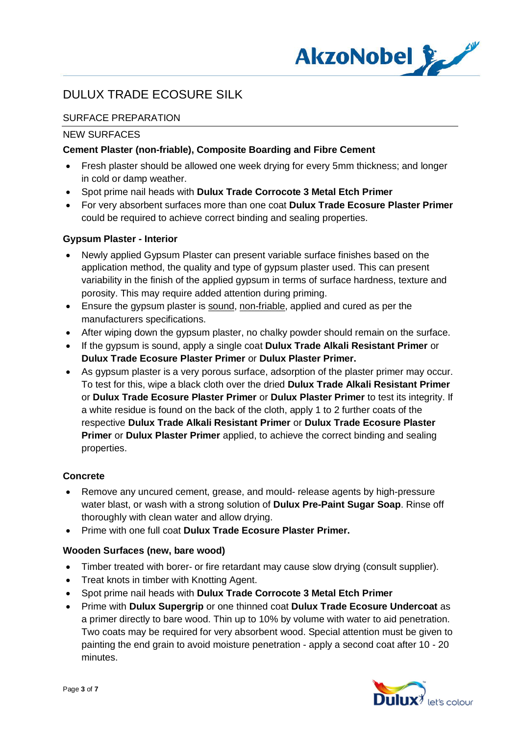

# SURFACE PREPARATION

## NEW SURFACES

## **Cement Plaster (non-friable), Composite Boarding and Fibre Cement**

- · Fresh plaster should be allowed one week drying for every 5mm thickness; and longer in cold or damp weather.
- · Spot prime nail heads with **Dulux Trade Corrocote 3 Metal Etch Primer**
- · For very absorbent surfaces more than one coat **Dulux Trade Ecosure Plaster Primer** could be required to achieve correct binding and sealing properties.

#### **Gypsum Plaster - Interior**

- · Newly applied Gypsum Plaster can present variable surface finishes based on the application method, the quality and type of gypsum plaster used. This can present variability in the finish of the applied gypsum in terms of surface hardness, texture and porosity. This may require added attention during priming.
- Ensure the gypsum plaster is sound, non-friable, applied and cured as per the manufacturers specifications.
- · After wiping down the gypsum plaster, no chalky powder should remain on the surface.
- · If the gypsum is sound, apply a single coat **Dulux Trade Alkali Resistant Primer** or **Dulux Trade Ecosure Plaster Primer** or **Dulux Plaster Primer.**
- · As gypsum plaster is a very porous surface, adsorption of the plaster primer may occur. To test for this, wipe a black cloth over the dried **Dulux Trade Alkali Resistant Primer** or **Dulux Trade Ecosure Plaster Primer** or **Dulux Plaster Primer** to test its integrity. If a white residue is found on the back of the cloth, apply 1 to 2 further coats of the respective **Dulux Trade Alkali Resistant Primer** or **Dulux Trade Ecosure Plaster Primer** or **Dulux Plaster Primer** applied, to achieve the correct binding and sealing properties.

# **Concrete**

- Remove any uncured cement, grease, and mould- release agents by high-pressure water blast, or wash with a strong solution of **Dulux Pre-Paint Sugar Soap**. Rinse off thoroughly with clean water and allow drying.
- · Prime with one full coat **Dulux Trade Ecosure Plaster Primer.**

# **Wooden Surfaces (new, bare wood)**

- · Timber treated with borer- or fire retardant may cause slow drying (consult supplier).
- · Treat knots in timber with Knotting Agent.
- · Spot prime nail heads with **Dulux Trade Corrocote 3 Metal Etch Primer**
- · Prime with **Dulux Supergrip** or one thinned coat **Dulux Trade Ecosure Undercoat** as a primer directly to bare wood. Thin up to 10% by volume with water to aid penetration. Two coats may be required for very absorbent wood. Special attention must be given to painting the end grain to avoid moisture penetration - apply a second coat after 10 - 20 minutes.

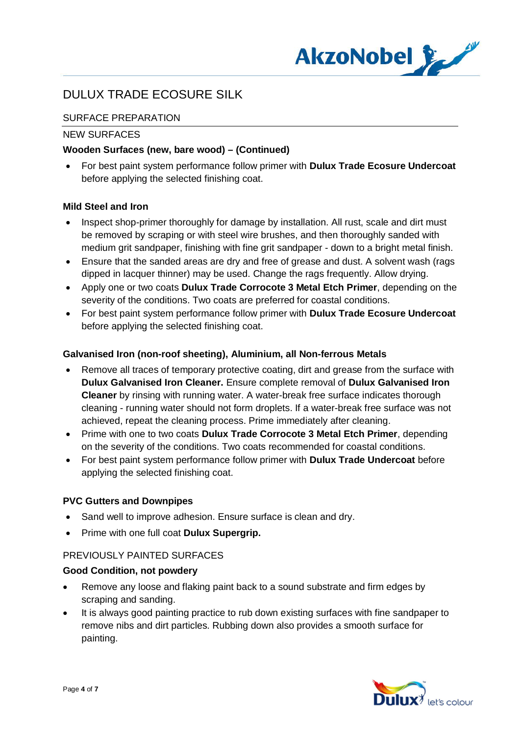

# SURFACE PREPARATION

## NEW SURFACES

## **Wooden Surfaces (new, bare wood) – (Continued)**

· For best paint system performance follow primer with **Dulux Trade Ecosure Undercoat** before applying the selected finishing coat.

#### **Mild Steel and Iron**

- Inspect shop-primer thoroughly for damage by installation. All rust, scale and dirt must be removed by scraping or with steel wire brushes, and then thoroughly sanded with medium grit sandpaper, finishing with fine grit sandpaper - down to a bright metal finish.
- Ensure that the sanded areas are dry and free of grease and dust. A solvent wash (rags dipped in lacquer thinner) may be used. Change the rags frequently. Allow drying.
- · Apply one or two coats **Dulux Trade Corrocote 3 Metal Etch Primer**, depending on the severity of the conditions. Two coats are preferred for coastal conditions.
- · For best paint system performance follow primer with **Dulux Trade Ecosure Undercoat** before applying the selected finishing coat.

#### **Galvanised Iron (non-roof sheeting), Aluminium, all Non-ferrous Metals**

- Remove all traces of temporary protective coating, dirt and grease from the surface with **Dulux Galvanised Iron Cleaner.** Ensure complete removal of **Dulux Galvanised Iron Cleaner** by rinsing with running water. A water-break free surface indicates thorough cleaning - running water should not form droplets. If a water-break free surface was not achieved, repeat the cleaning process. Prime immediately after cleaning.
- · Prime with one to two coats **Dulux Trade Corrocote 3 Metal Etch Primer**, depending on the severity of the conditions. Two coats recommended for coastal conditions.
- · For best paint system performance follow primer with **Dulux Trade Undercoat** before applying the selected finishing coat.

#### **PVC Gutters and Downpipes**

- · Sand well to improve adhesion. Ensure surface is clean and dry.
- · Prime with one full coat **Dulux Supergrip.**

#### PREVIOUSLY PAINTED SURFACES

#### **Good Condition, not powdery**

- · Remove any loose and flaking paint back to a sound substrate and firm edges by scraping and sanding.
- It is always good painting practice to rub down existing surfaces with fine sandpaper to remove nibs and dirt particles. Rubbing down also provides a smooth surface for painting.

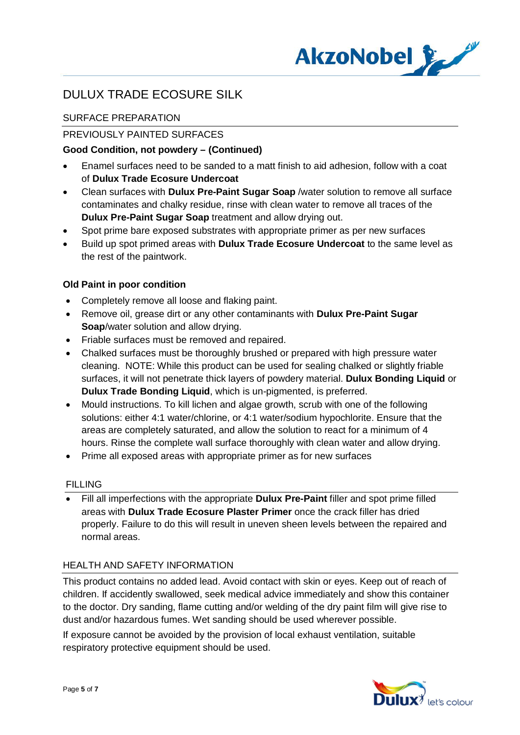

# SURFACE PREPARATION

# PREVIOUSLY PAINTED SURFACES

## **Good Condition, not powdery – (Continued)**

- · Enamel surfaces need to be sanded to a matt finish to aid adhesion, follow with a coat of **Dulux Trade Ecosure Undercoat**
- · Clean surfaces with **Dulux Pre-Paint Sugar Soap** /water solution to remove all surface contaminates and chalky residue, rinse with clean water to remove all traces of the **Dulux Pre-Paint Sugar Soap** treatment and allow drying out.
- · Spot prime bare exposed substrates with appropriate primer as per new surfaces
- · Build up spot primed areas with **Dulux Trade Ecosure Undercoat** to the same level as the rest of the paintwork.

## **Old Paint in poor condition**

- · Completely remove all loose and flaking paint.
- · Remove oil, grease dirt or any other contaminants with **Dulux Pre-Paint Sugar Soap**/water solution and allow drying.
- · Friable surfaces must be removed and repaired.
- · Chalked surfaces must be thoroughly brushed or prepared with high pressure water cleaning. NOTE: While this product can be used for sealing chalked or slightly friable surfaces, it will not penetrate thick layers of powdery material. **Dulux Bonding Liquid** or **Dulux Trade Bonding Liquid**, which is un-pigmented, is preferred.
- · Mould instructions. To kill lichen and algae growth, scrub with one of the following solutions: either 4:1 water/chlorine, or 4:1 water/sodium hypochlorite. Ensure that the areas are completely saturated, and allow the solution to react for a minimum of 4 hours. Rinse the complete wall surface thoroughly with clean water and allow drying.
- · Prime all exposed areas with appropriate primer as for new surfaces

#### FILLING

· Fill all imperfections with the appropriate **Dulux Pre-Paint** filler and spot prime filled areas with **Dulux Trade Ecosure Plaster Primer** once the crack filler has dried properly. Failure to do this will result in uneven sheen levels between the repaired and normal areas.

#### HEALTH AND SAFETY INFORMATION

This product contains no added lead. Avoid contact with skin or eyes. Keep out of reach of children. If accidently swallowed, seek medical advice immediately and show this container to the doctor. Dry sanding, flame cutting and/or welding of the dry paint film will give rise to dust and/or hazardous fumes. Wet sanding should be used wherever possible.

If exposure cannot be avoided by the provision of local exhaust ventilation, suitable respiratory protective equipment should be used.

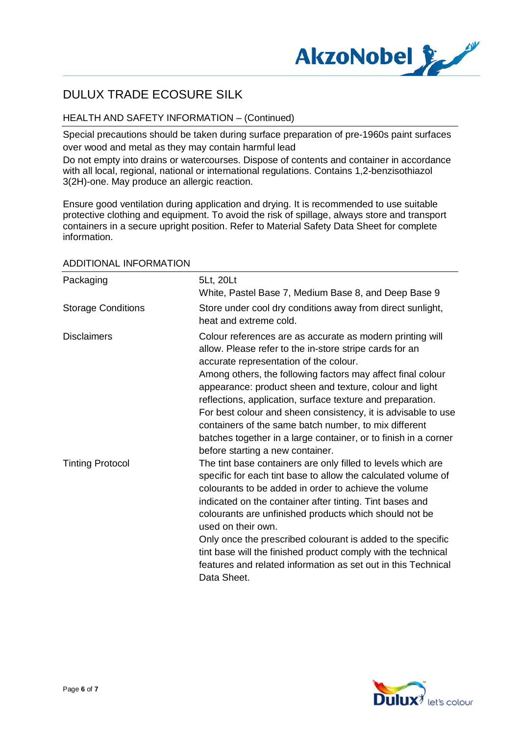

# HEALTH AND SAFETY INFORMATION – (Continued)

Special precautions should be taken during surface preparation of pre-1960s paint surfaces over wood and metal as they may contain harmful lead

Do not empty into drains or watercourses. Dispose of contents and container in accordance with all local, regional, national or international regulations. Contains 1,2-benzisothiazol 3(2H)-one. May produce an allergic reaction.

Ensure good ventilation during application and drying. It is recommended to use suitable protective clothing and equipment. To avoid the risk of spillage, always store and transport containers in a secure upright position. Refer to Material Safety Data Sheet for complete information.

| Packaging                 | 5Lt, 20Lt<br>White, Pastel Base 7, Medium Base 8, and Deep Base 9                                                                                                                                                                                                                                                                                                                                                                                                                                                                                                                       |
|---------------------------|-----------------------------------------------------------------------------------------------------------------------------------------------------------------------------------------------------------------------------------------------------------------------------------------------------------------------------------------------------------------------------------------------------------------------------------------------------------------------------------------------------------------------------------------------------------------------------------------|
| <b>Storage Conditions</b> | Store under cool dry conditions away from direct sunlight,<br>heat and extreme cold.                                                                                                                                                                                                                                                                                                                                                                                                                                                                                                    |
| <b>Disclaimers</b>        | Colour references are as accurate as modern printing will<br>allow. Please refer to the in-store stripe cards for an<br>accurate representation of the colour.<br>Among others, the following factors may affect final colour<br>appearance: product sheen and texture, colour and light<br>reflections, application, surface texture and preparation.<br>For best colour and sheen consistency, it is advisable to use<br>containers of the same batch number, to mix different<br>batches together in a large container, or to finish in a corner<br>before starting a new container. |
| <b>Tinting Protocol</b>   | The tint base containers are only filled to levels which are<br>specific for each tint base to allow the calculated volume of<br>colourants to be added in order to achieve the volume<br>indicated on the container after tinting. Tint bases and<br>colourants are unfinished products which should not be<br>used on their own.<br>Only once the prescribed colourant is added to the specific<br>tint base will the finished product comply with the technical<br>features and related information as set out in this Technical<br>Data Sheet.                                      |

#### ADDITIONAL INFORMATION